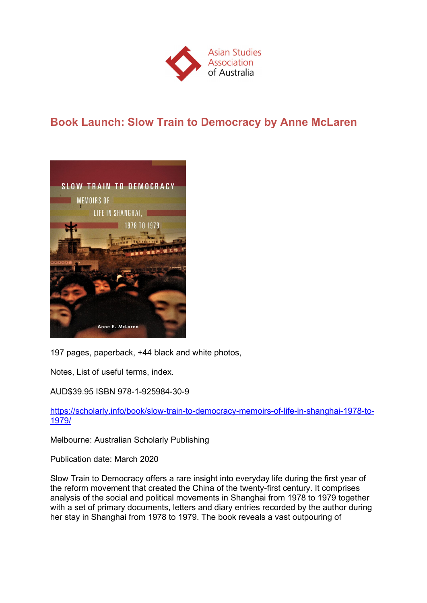

# **Book Launch: Slow Train to Democracy by Anne McLaren**



197 pages, paperback, +44 black and white photos,

Notes, List of useful terms, index.

AUD\$39.95 ISBN 978-1-925984-30-9

https://scholarly.info/book/slow-train-to-democracy-memoirs-of-life-in-shanghai-1978-to-1979/

Melbourne: Australian Scholarly Publishing

Publication date: March 2020

Slow Train to Democracy offers a rare insight into everyday life during the first year of the reform movement that created the China of the twenty-first century. It comprises analysis of the social and political movements in Shanghai from 1978 to 1979 together with a set of primary documents, letters and diary entries recorded by the author during her stay in Shanghai from 1978 to 1979. The book reveals a vast outpouring of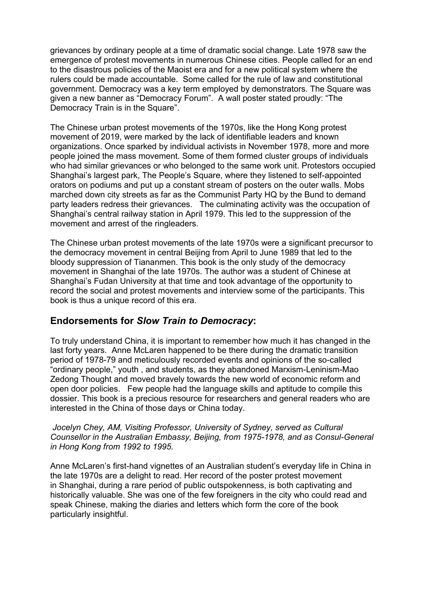grievances by ordinary people at a time of dramatic social change. Late 1978 saw the emergence of protest movements in numerous Chinese cities. People called for an end to the disastrous policies of the Maoist era and for a new political system where the rulers could be made accountable. Some called for the rule of law and constitutional government. Democracy was a key term employed by demonstrators. The Square was given a new banner as "Democracy Forum". A wall poster stated proudly: "The Democracy Train is in the Square".

The Chinese urban protest movements of the 1970s, like the Hong Kong protest movement of 2019, were marked by the lack of identifiable leaders and known organizations. Once sparked by individual activists in November 1978, more and more people joined the mass movement. Some of them formed cluster groups of individuals who had similar grievances or who belonged to the same work unit. Protestors occupied Shanghai's largest park, The People's Square, where they listened to self-appointed orators on podiums and put up a constant stream of posters on the outer walls. Mobs marched down city streets as far as the Communist Party HQ by the Bund to demand party leaders redress their grievances. The culminating activity was the occupation of Shanghai's central railway station in April 1979. This led to the suppression of the movement and arrest of the ringleaders.

The Chinese urban protest movements of the late 1970s were a significant precursor to the democracy movement in central Beijing from April to June 1989 that led to the bloody suppression of Tiananmen. This book is the only study of the democracy movement in Shanghai of the late 1970s. The author was a student of Chinese at Shanghai's Fudan University at that time and took advantage of the opportunity to record the social and protest movements and interview some of the participants. This book is thus a unique record of this era.

### **Endorsements for** *Slow Train to Democracy***:**

To truly understand China, it is important to remember how much it has changed in the last forty years. Anne McLaren happened to be there during the dramatic transition period of 1978-79 and meticulously recorded events and opinions of the so-called "ordinary people," youth , and students, as they abandoned Marxism-Leninism-Mao Zedong Thought and moved bravely towards the new world of economic reform and open door policies. Few people had the language skills and aptitude to compile this dossier. This book is a precious resource for researchers and general readers who are interested in the China of those days or China today.

#### *Jocelyn Chey, AM, Visiting Professor, University of Sydney, served as Cultural Counsellor in the Australian Embassy, Beijing, from 1975-1978, and as Consul-General in Hong Kong from 1992 to 1995.*

Anne McLaren's first-hand vignettes of an Australian student's everyday life in China in the late 1970s are a delight to read. Her record of the poster protest movement in Shanghai, during a rare period of public outspokenness, is both captivating and historically valuable. She was one of the few foreigners in the city who could read and speak Chinese, making the diaries and letters which form the core of the book particularly insightful.